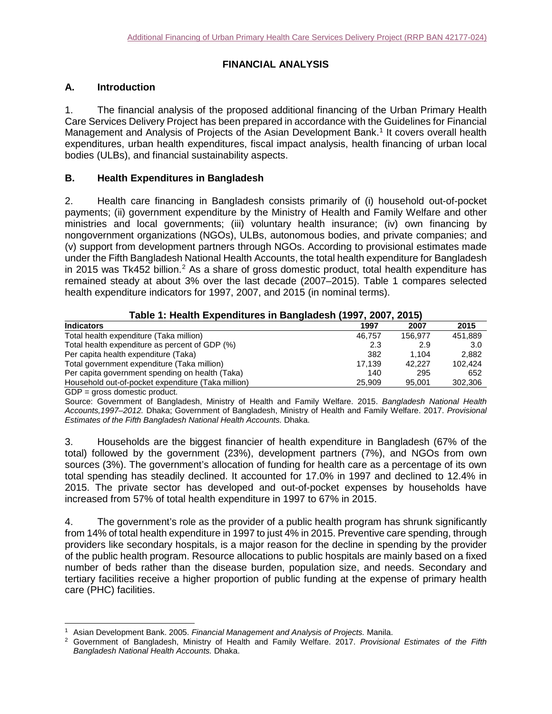# **FINANCIAL ANALYSIS**

# **A. Introduction**

1. The financial analysis of the proposed additional financing of the Urban Primary Health Care Services Delivery Project has been prepared in accordance with the Guidelines for Financial Management and Analysis of Projects of the Asian Development Bank.<sup>[1](#page-0-0)</sup> It covers overall health expenditures, urban health expenditures, fiscal impact analysis, health financing of urban local bodies (ULBs), and financial sustainability aspects.

### **B. Health Expenditures in Bangladesh**

2. Health care financing in Bangladesh consists primarily of (i) household out-of-pocket payments; (ii) government expenditure by the Ministry of Health and Family Welfare and other ministries and local governments; (iii) voluntary health insurance; (iv) own financing by nongovernment organizations (NGOs), ULBs, autonomous bodies, and private companies; and (v) support from development partners through NGOs. According to provisional estimates made under the Fifth Bangladesh National Health Accounts, the total health expenditure for Bangladesh in [2](#page-0-1)015 was Tk452 billion.<sup>2</sup> As a share of gross domestic product, total health expenditure has remained steady at about 3% over the last decade (2007–2015). Table 1 compares selected health expenditure indicators for 1997, 2007, and 2015 (in nominal terms).

| Table 1: Health Expenditures in Bangladesh (1997, 2007, 2015) |        |         |         |  |  |  |
|---------------------------------------------------------------|--------|---------|---------|--|--|--|
| <b>Indicators</b>                                             | 1997   | 2007    | 2015    |  |  |  |
| Total health expenditure (Taka million)                       | 46.757 | 156.977 | 451,889 |  |  |  |
| Total health expenditure as percent of GDP (%)                | 2.3    | 2.9     | 3.0     |  |  |  |
| Per capita health expenditure (Taka)                          | 382    | 1.104   | 2.882   |  |  |  |
| Total government expenditure (Taka million)                   | 17.139 | 42.227  | 102.424 |  |  |  |
| Per capita government spending on health (Taka)               | 140    | 295     | 652     |  |  |  |
| Household out-of-pocket expenditure (Taka million)            | 25,909 | 95.001  | 302,306 |  |  |  |
| $GDP =$ gross domestic product.                               |        |         |         |  |  |  |

|  | Table 1: Health Expenditures in Bangladesh (1997, 2007, 2015) |  |
|--|---------------------------------------------------------------|--|
|--|---------------------------------------------------------------|--|

Source: Government of Bangladesh, Ministry of Health and Family Welfare. 2015. *Bangladesh National Health Accounts,1997–2012.* Dhaka; Government of Bangladesh, Ministry of Health and Family Welfare. 2017. *Provisional Estimates of the Fifth Bangladesh National Health Accounts.* Dhaka.

3. Households are the biggest financier of health expenditure in Bangladesh (67% of the total) followed by the government (23%), development partners (7%), and NGOs from own sources (3%). The government's allocation of funding for health care as a percentage of its own total spending has steadily declined. It accounted for 17.0% in 1997 and declined to 12.4% in 2015. The private sector has developed and out-of-pocket expenses by households have increased from 57% of total health expenditure in 1997 to 67% in 2015.

4. The government's role as the provider of a public health program has shrunk significantly from 14% of total health expenditure in 1997 to just 4% in 2015. Preventive care spending, through providers like secondary hospitals, is a major reason for the decline in spending by the provider of the public health program. Resource allocations to public hospitals are mainly based on a fixed number of beds rather than the disease burden, population size, and needs. Secondary and tertiary facilities receive a higher proportion of public funding at the expense of primary health care (PHC) facilities.

 <sup>1</sup> Asian Development Bank. 2005. *Financial Management and Analysis of Projects.* Manila.

<span id="page-0-1"></span><span id="page-0-0"></span><sup>2</sup> Government of Bangladesh, Ministry of Health and Family Welfare. 2017. *Provisional Estimates of the Fifth Bangladesh National Health Accounts.* Dhaka.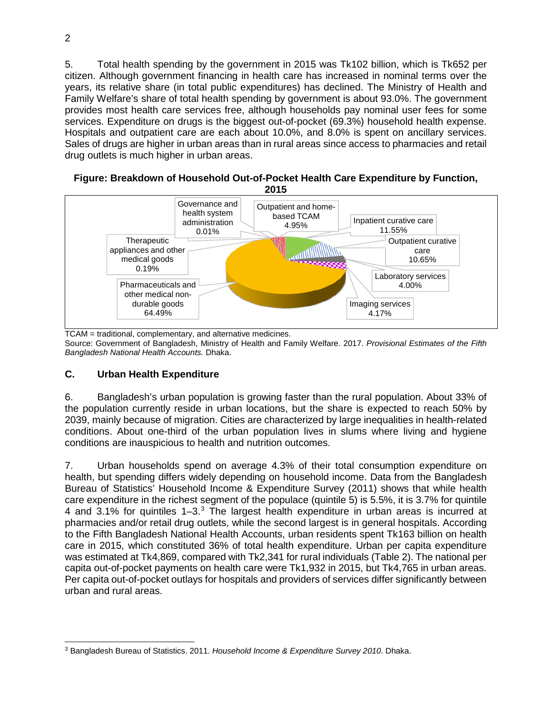5. Total health spending by the government in 2015 was Tk102 billion, which is Tk652 per citizen. Although government financing in health care has increased in nominal terms over the years, its relative share (in total public expenditures) has declined. The Ministry of Health and Family Welfare's share of total health spending by government is about 93.0%. The government provides most health care services free, although households pay nominal user fees for some services. Expenditure on drugs is the biggest out-of-pocket (69.3%) household health expense. Hospitals and outpatient care are each about 10.0%, and 8.0% is spent on ancillary services. Sales of drugs are higher in urban areas than in rural areas since access to pharmacies and retail drug outlets is much higher in urban areas.



TCAM = traditional, complementary, and alternative medicines. Source: Government of Bangladesh, Ministry of Health and Family Welfare. 2017. *Provisional Estimates of the Fifth Bangladesh National Health Accounts.* Dhaka.

# **C. Urban Health Expenditure**

6. Bangladesh's urban population is growing faster than the rural population. About 33% of the population currently reside in urban locations, but the share is expected to reach 50% by 2039, mainly because of migration. Cities are characterized by large inequalities in health-related conditions. About one-third of the urban population lives in slums where living and hygiene conditions are inauspicious to health and nutrition outcomes.

7. Urban households spend on average 4.3% of their total consumption expenditure on health, but spending differs widely depending on household income. Data from the Bangladesh Bureau of Statistics' Household Income & Expenditure Survey (2011) shows that while health care expenditure in the richest segment of the populace (quintile 5) is 5.5%, it is 3.7% for quintile 4 and [3](#page-1-0).1% for quintiles 1–3.<sup>3</sup> The largest health expenditure in urban areas is incurred at pharmacies and/or retail drug outlets, while the second largest is in general hospitals. According to the Fifth Bangladesh National Health Accounts, urban residents spent Tk163 billion on health care in 2015, which constituted 36% of total health expenditure. Urban per capita expenditure was estimated at Tk4,869, compared with Tk2,341 for rural individuals (Table 2). The national per capita out-of-pocket payments on health care were Tk1,932 in 2015, but Tk4,765 in urban areas. Per capita out-of-pocket outlays for hospitals and providers of services differ significantly between urban and rural areas.

<span id="page-1-0"></span> <sup>3</sup> Bangladesh Bureau of Statistics. 2011. *Household Income & Expenditure Survey 2010*. Dhaka.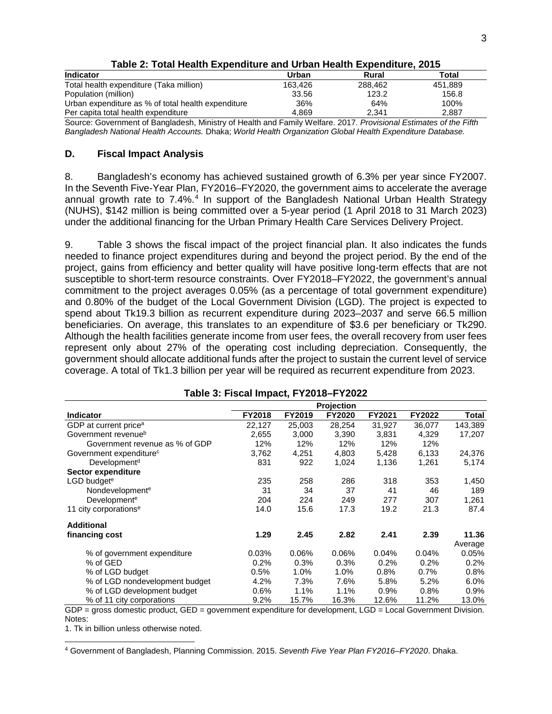| <b>Indicator</b>                                                                                                  | Urban   | Rural   | Total   |
|-------------------------------------------------------------------------------------------------------------------|---------|---------|---------|
| Total health expenditure (Taka million)                                                                           | 163.426 | 288.462 | 451,889 |
| Population (million)                                                                                              | 33.56   | 123.2   | 156.8   |
| Urban expenditure as % of total health expenditure                                                                | 36%     | 64%     | 100%    |
| Per capita total health expenditure                                                                               | 4.869   | 2.341   | 2.887   |
| Source: Government of Bangladesh, Ministry of Health and Family Welfare, 2017, Provisional Estimates of the Fifth |         |         |         |

**Table 2: Total Health Expenditure and Urban Health Expenditure, 2015**

Source: Government of Bangladesh, Ministry of Health and Family Welfare. 2017. *Provisional Estimates of the Fifth Bangladesh National Health Accounts.* Dhaka; *World Health Organization Global Health Expenditure Database.*

### **D. Fiscal Impact Analysis**

8. Bangladesh's economy has achieved sustained growth of 6.3% per year since FY2007. In the Seventh Five-Year Plan, FY2016–FY2020, the government aims to accelerate the average annual growth rate to 7.[4](#page-2-0)%.<sup>4</sup> In support of the Bangladesh National Urban Health Strategy (NUHS), \$142 million is being committed over a 5-year period (1 April 2018 to 31 March 2023) under the additional financing for the Urban Primary Health Care Services Delivery Project.

9. Table 3 shows the fiscal impact of the project financial plan. It also indicates the funds needed to finance project expenditures during and beyond the project period. By the end of the project, gains from efficiency and better quality will have positive long-term effects that are not susceptible to short-term resource constraints. Over FY2018–FY2022, the government's annual commitment to the project averages 0.05% (as a percentage of total government expenditure) and 0.80% of the budget of the Local Government Division (LGD). The project is expected to spend about Tk19.3 billion as recurrent expenditure during 2023–2037 and serve 66.5 million beneficiaries. On average, this translates to an expenditure of \$3.6 per beneficiary or Tk290. Although the health facilities generate income from user fees, the overall recovery from user fees represent only about 27% of the operating cost including depreciation. Consequently, the government should allocate additional funds after the project to sustain the current level of service coverage. A total of Tk1.3 billion per year will be required as recurrent expenditure from 2023.

|                                     | . ap.o o.ooa. pao., = o . o |         |         |         |        |         |  |  |
|-------------------------------------|-----------------------------|---------|---------|---------|--------|---------|--|--|
|                                     | Projection                  |         |         |         |        |         |  |  |
| <b>Indicator</b>                    | <b>FY2018</b>               | FY2019  | FY2020  | FY2021  | FY2022 | Total   |  |  |
| GDP at current price <sup>a</sup>   | 22,127                      | 25,003  | 28,254  | 31,927  | 36,077 | 143,389 |  |  |
| Government revenue <sup>b</sup>     | 2,655                       | 3,000   | 3,390   | 3,831   | 4,329  | 17,207  |  |  |
| Government revenue as % of GDP      | 12%                         | 12%     | 12%     | 12%     | 12%    |         |  |  |
| Government expenditure <sup>c</sup> | 3,762                       | 4,251   | 4,803   | 5,428   | 6,133  | 24,376  |  |  |
| Development <sup>d</sup>            | 831                         | 922     | 1,024   | 1,136   | 1,261  | 5,174   |  |  |
| <b>Sector expenditure</b>           |                             |         |         |         |        |         |  |  |
| LGD budget <sup>e</sup>             | 235                         | 258     | 286     | 318     | 353    | 1,450   |  |  |
| Nondevelopment <sup>e</sup>         | 31                          | 34      | 37      | 41      | 46     | 189     |  |  |
| Development <sup>e</sup>            | 204                         | 224     | 249     | 277     | 307    | 1,261   |  |  |
| 11 city corporations <sup>e</sup>   | 14.0                        | 15.6    | 17.3    | 19.2    | 21.3   | 87.4    |  |  |
| <b>Additional</b>                   |                             |         |         |         |        |         |  |  |
| financing cost                      | 1.29                        | 2.45    | 2.82    | 2.41    | 2.39   | 11.36   |  |  |
|                                     |                             |         |         |         |        | Average |  |  |
| % of government expenditure         | 0.03%                       | 0.06%   | 0.06%   | 0.04%   | 0.04%  | 0.05%   |  |  |
| % of GED                            | 0.2%                        | 0.3%    | 0.3%    | 0.2%    | 0.2%   | 0.2%    |  |  |
| % of LGD budget                     | 0.5%                        | $1.0\%$ | $1.0\%$ | $0.8\%$ | 0.7%   | $0.8\%$ |  |  |
| % of LGD nondevelopment budget      | 4.2%                        | 7.3%    | 7.6%    | 5.8%    | 5.2%   | 6.0%    |  |  |
| % of LGD development budget         | 0.6%                        | 1.1%    | 1.1%    | 0.9%    | 0.8%   | 0.9%    |  |  |
| % of 11 city corporations           | 9.2%                        | 15.7%   | 16.3%   | 12.6%   | 11.2%  | 13.0%   |  |  |

#### **Table 3: Fiscal Impact, FY2018–FY2022**

GDP = gross domestic product, GED = government expenditure for development, LGD = Local Government Division. Notes:

1. Tk in billion unless otherwise noted.

<span id="page-2-0"></span> <sup>4</sup> Government of Bangladesh, Planning Commission. 2015. *Seventh Five Year Plan FY2016–FY2020*. Dhaka.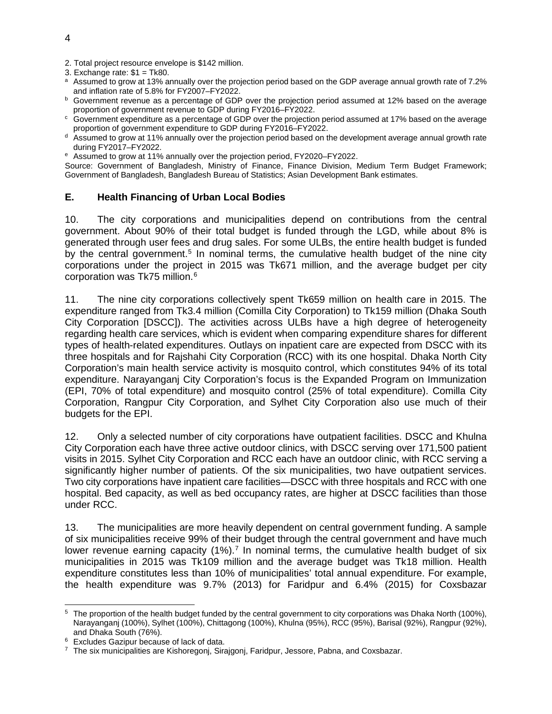- 2. Total project resource envelope is \$142 million.
- 3. Exchange rate:  $$1 = Tk80$ .
- a Assumed to grow at 13% annually over the projection period based on the GDP average annual growth rate of 7.2%
- and inflation rate of 5.8% for FY2007–FY2022.<br>
<sup>b</sup> Government revenue as a percentage of GDP over the projection period assumed at 12% based on the average proportion of government revenue to GDP during FY2016–FY2022.
- $\degree$  Government expenditure as a percentage of GDP over the projection period assumed at 17% based on the average proportion of government expenditure to GDP during FY2016–FY2022.
- d Assumed to grow at 11% annually over the projection period based on the development average annual growth rate during FY2017–FY2022.
- <sup>e</sup> Assumed to grow at 11% annually over the projection period, FY2020–FY2022.

Source: Government of Bangladesh, Ministry of Finance, Finance Division, Medium Term Budget Framework; Government of Bangladesh, Bangladesh Bureau of Statistics; Asian Development Bank estimates.

#### **E. Health Financing of Urban Local Bodies**

10. The city corporations and municipalities depend on contributions from the central government. About 90% of their total budget is funded through the LGD, while about 8% is generated through user fees and drug sales. For some ULBs, the entire health budget is funded by the central government.<sup>[5](#page-3-0)</sup> In nominal terms, the cumulative health budget of the nine city corporations under the project in 2015 was Tk671 million, and the average budget per city corporation was Tk75 million.[6](#page-3-1)

11. The nine city corporations collectively spent Tk659 million on health care in 2015. The expenditure ranged from Tk3.4 million (Comilla City Corporation) to Tk159 million (Dhaka South City Corporation [DSCC]). The activities across ULBs have a high degree of heterogeneity regarding health care services, which is evident when comparing expenditure shares for different types of health-related expenditures. Outlays on inpatient care are expected from DSCC with its three hospitals and for Rajshahi City Corporation (RCC) with its one hospital. Dhaka North City Corporation's main health service activity is mosquito control, which constitutes 94% of its total expenditure. Narayanganj City Corporation's focus is the Expanded Program on Immunization (EPI, 70% of total expenditure) and mosquito control (25% of total expenditure). Comilla City Corporation, Rangpur City Corporation, and Sylhet City Corporation also use much of their budgets for the EPI.

12. Only a selected number of city corporations have outpatient facilities. DSCC and Khulna City Corporation each have three active outdoor clinics, with DSCC serving over 171,500 patient visits in 2015. Sylhet City Corporation and RCC each have an outdoor clinic, with RCC serving a significantly higher number of patients. Of the six municipalities, two have outpatient services. Two city corporations have inpatient care facilities—DSCC with three hospitals and RCC with one hospital. Bed capacity, as well as bed occupancy rates, are higher at DSCC facilities than those under RCC.

13. The municipalities are more heavily dependent on central government funding. A sample of six municipalities receive 99% of their budget through the central government and have much lower revenue earning capacity  $(1\%)$ .<sup>[7](#page-3-2)</sup> In nominal terms, the cumulative health budget of six municipalities in 2015 was Tk109 million and the average budget was Tk18 million. Health expenditure constitutes less than 10% of municipalities' total annual expenditure. For example, the health expenditure was 9.7% (2013) for Faridpur and 6.4% (2015) for Coxsbazar

<span id="page-3-0"></span> <sup>5</sup> The proportion of the health budget funded by the central government to city corporations was Dhaka North (100%), Narayanganj (100%), Sylhet (100%), Chittagong (100%), Khulna (95%), RCC (95%), Barisal (92%), Rangpur (92%), and Dhaka South (76%).

<span id="page-3-1"></span><sup>6</sup> Excludes Gazipur because of lack of data.

<span id="page-3-2"></span> $7$  The six municipalities are Kishoregonj, Sirajgonj, Faridpur, Jessore, Pabna, and Coxsbazar.